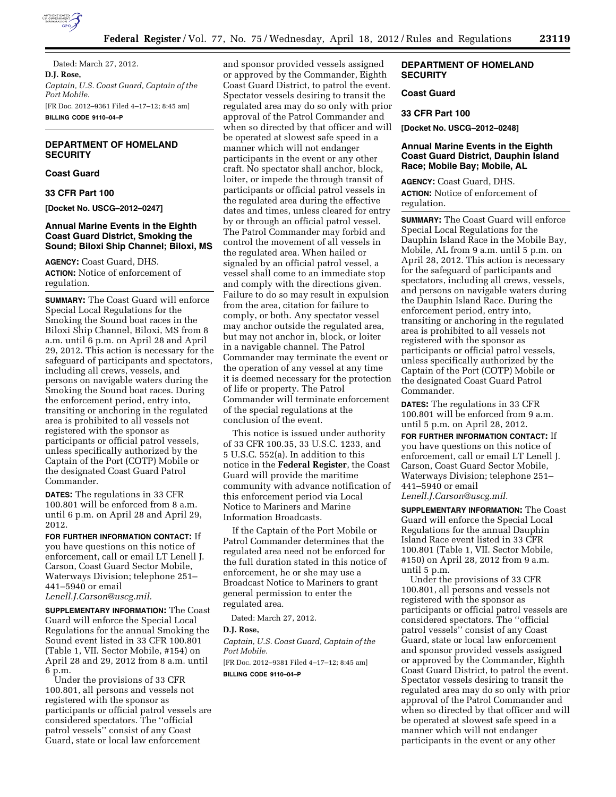

Dated: March 27, 2012. **D.J. Rose,**  *Captain, U.S. Coast Guard, Captain of the Port Mobile.*  [FR Doc. 2012–9361 Filed 4–17–12; 8:45 am] **BILLING CODE 9110–04–P** 

# **DEPARTMENT OF HOMELAND SECURITY**

# **Coast Guard**

**33 CFR Part 100** 

**[Docket No. USCG–2012–0247]** 

### **Annual Marine Events in the Eighth Coast Guard District, Smoking the Sound; Biloxi Ship Channel; Biloxi, MS**

**AGENCY:** Coast Guard, DHS. **ACTION:** Notice of enforcement of regulation.

**SUMMARY:** The Coast Guard will enforce Special Local Regulations for the Smoking the Sound boat races in the Biloxi Ship Channel, Biloxi, MS from 8 a.m. until 6 p.m. on April 28 and April 29, 2012. This action is necessary for the safeguard of participants and spectators, including all crews, vessels, and persons on navigable waters during the Smoking the Sound boat races. During the enforcement period, entry into, transiting or anchoring in the regulated area is prohibited to all vessels not registered with the sponsor as participants or official patrol vessels, unless specifically authorized by the Captain of the Port (COTP) Mobile or the designated Coast Guard Patrol Commander.

**DATES:** The regulations in 33 CFR 100.801 will be enforced from 8 a.m. until 6 p.m. on April 28 and April 29, 2012.

**FOR FURTHER INFORMATION CONTACT:** If you have questions on this notice of enforcement, call or email LT Lenell J. Carson, Coast Guard Sector Mobile, Waterways Division; telephone 251– 441–5940 or email *[Lenell.J.Carson@uscg.mil.](mailto:Lenell.J.Carson@uscg.mil)* 

**SUPPLEMENTARY INFORMATION:** The Coast Guard will enforce the Special Local Regulations for the annual Smoking the Sound event listed in 33 CFR 100.801 (Table 1, VII. Sector Mobile, #154) on April 28 and 29, 2012 from 8 a.m. until 6 p.m.

Under the provisions of 33 CFR 100.801, all persons and vessels not registered with the sponsor as participants or official patrol vessels are considered spectators. The ''official patrol vessels'' consist of any Coast Guard, state or local law enforcement

and sponsor provided vessels assigned or approved by the Commander, Eighth Coast Guard District, to patrol the event. Spectator vessels desiring to transit the regulated area may do so only with prior approval of the Patrol Commander and when so directed by that officer and will be operated at slowest safe speed in a manner which will not endanger participants in the event or any other craft. No spectator shall anchor, block, loiter, or impede the through transit of participants or official patrol vessels in the regulated area during the effective dates and times, unless cleared for entry by or through an official patrol vessel. The Patrol Commander may forbid and control the movement of all vessels in the regulated area. When hailed or signaled by an official patrol vessel, a vessel shall come to an immediate stop and comply with the directions given. Failure to do so may result in expulsion from the area, citation for failure to comply, or both. Any spectator vessel may anchor outside the regulated area, but may not anchor in, block, or loiter in a navigable channel. The Patrol Commander may terminate the event or the operation of any vessel at any time it is deemed necessary for the protection of life or property. The Patrol Commander will terminate enforcement of the special regulations at the conclusion of the event.

This notice is issued under authority of 33 CFR 100.35, 33 U.S.C. 1233, and 5 U.S.C. 552(a). In addition to this notice in the **Federal Register**, the Coast Guard will provide the maritime community with advance notification of this enforcement period via Local Notice to Mariners and Marine Information Broadcasts.

If the Captain of the Port Mobile or Patrol Commander determines that the regulated area need not be enforced for the full duration stated in this notice of enforcement, he or she may use a Broadcast Notice to Mariners to grant general permission to enter the regulated area.

Dated: March 27, 2012.

#### **D.J. Rose,**

*Captain, U.S. Coast Guard, Captain of the Port Mobile.* 

[FR Doc. 2012–9381 Filed 4–17–12; 8:45 am] **BILLING CODE 9110–04–P** 

## **DEPARTMENT OF HOMELAND SECURITY**

# **Coast Guard**

#### **33 CFR Part 100**

**[Docket No. USCG–2012–0248]** 

## **Annual Marine Events in the Eighth Coast Guard District, Dauphin Island Race; Mobile Bay; Mobile, AL**

**AGENCY:** Coast Guard, DHS. **ACTION:** Notice of enforcement of regulation.

**SUMMARY:** The Coast Guard will enforce Special Local Regulations for the Dauphin Island Race in the Mobile Bay, Mobile, AL from 9 a.m. until 5 p.m. on April 28, 2012. This action is necessary for the safeguard of participants and spectators, including all crews, vessels, and persons on navigable waters during the Dauphin Island Race. During the enforcement period, entry into, transiting or anchoring in the regulated area is prohibited to all vessels not registered with the sponsor as participants or official patrol vessels, unless specifically authorized by the Captain of the Port (COTP) Mobile or the designated Coast Guard Patrol Commander.

**DATES:** The regulations in 33 CFR 100.801 will be enforced from 9 a.m. until 5 p.m. on April 28, 2012.

**FOR FURTHER INFORMATION CONTACT:** If you have questions on this notice of enforcement, call or email LT Lenell J. Carson, Coast Guard Sector Mobile, Waterways Division; telephone 251– 441–5940 or email *[Lenell.J.Carson@uscg.mil.](mailto:Lenell.J.Carson@uscg.mil)* 

**SUPPLEMENTARY INFORMATION:** The Coast Guard will enforce the Special Local

Regulations for the annual Dauphin Island Race event listed in 33 CFR 100.801 (Table 1, VII. Sector Mobile, #150) on April 28, 2012 from 9 a.m. until 5 p.m.

Under the provisions of 33 CFR 100.801, all persons and vessels not registered with the sponsor as participants or official patrol vessels are considered spectators. The ''official patrol vessels'' consist of any Coast Guard, state or local law enforcement and sponsor provided vessels assigned or approved by the Commander, Eighth Coast Guard District, to patrol the event. Spectator vessels desiring to transit the regulated area may do so only with prior approval of the Patrol Commander and when so directed by that officer and will be operated at slowest safe speed in a manner which will not endanger participants in the event or any other